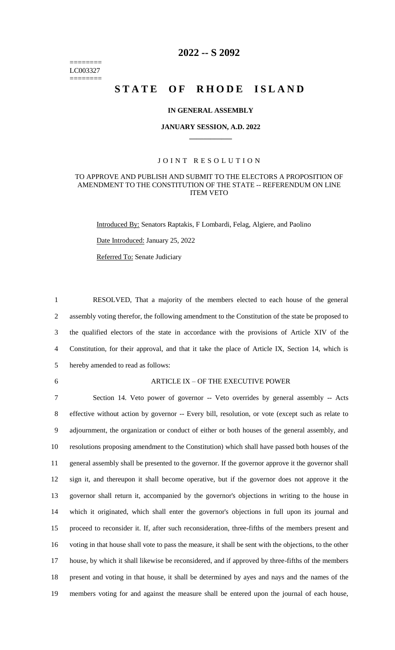======== LC003327 ========

# **2022 -- S 2092**

# STATE OF RHODE ISLAND

### **IN GENERAL ASSEMBLY**

### **JANUARY SESSION, A.D. 2022 \_\_\_\_\_\_\_\_\_\_\_\_**

### JOINT RESOLUTION

### TO APPROVE AND PUBLISH AND SUBMIT TO THE ELECTORS A PROPOSITION OF AMENDMENT TO THE CONSTITUTION OF THE STATE -- REFERENDUM ON LINE ITEM VETO

Introduced By: Senators Raptakis, F Lombardi, Felag, Algiere, and Paolino

Date Introduced: January 25, 2022

Referred To: Senate Judiciary

 RESOLVED, That a majority of the members elected to each house of the general assembly voting therefor, the following amendment to the Constitution of the state be proposed to the qualified electors of the state in accordance with the provisions of Article XIV of the Constitution, for their approval, and that it take the place of Article IX, Section 14, which is hereby amended to read as follows:

#### 6 ARTICLE IX – OF THE EXECUTIVE POWER

 Section 14. Veto power of governor -- Veto overrides by general assembly -- Acts effective without action by governor -- Every bill, resolution, or vote (except such as relate to adjournment, the organization or conduct of either or both houses of the general assembly, and resolutions proposing amendment to the Constitution) which shall have passed both houses of the general assembly shall be presented to the governor. If the governor approve it the governor shall sign it, and thereupon it shall become operative, but if the governor does not approve it the governor shall return it, accompanied by the governor's objections in writing to the house in which it originated, which shall enter the governor's objections in full upon its journal and proceed to reconsider it. If, after such reconsideration, three-fifths of the members present and voting in that house shall vote to pass the measure, it shall be sent with the objections, to the other house, by which it shall likewise be reconsidered, and if approved by three-fifths of the members present and voting in that house, it shall be determined by ayes and nays and the names of the members voting for and against the measure shall be entered upon the journal of each house,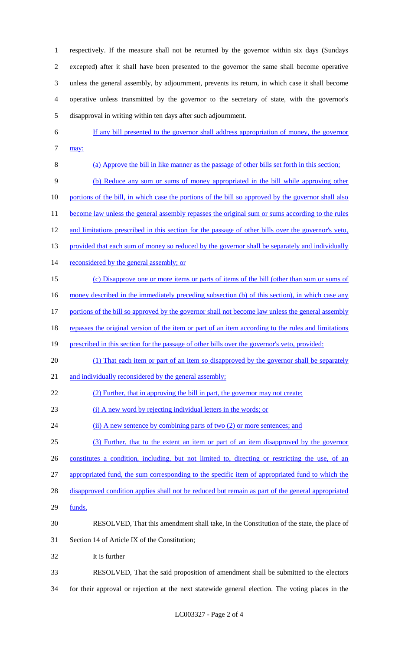respectively. If the measure shall not be returned by the governor within six days (Sundays excepted) after it shall have been presented to the governor the same shall become operative unless the general assembly, by adjournment, prevents its return, in which case it shall become operative unless transmitted by the governor to the secretary of state, with the governor's disapproval in writing within ten days after such adjournment.

- 6 If any bill presented to the governor shall address appropriation of money, the governor  $7 \frac{may:}{?}$
- 8 (a) Approve the bill in like manner as the passage of other bills set forth in this section; 9 (b) Reduce any sum or sums of money appropriated in the bill while approving other 10 portions of the bill, in which case the portions of the bill so approved by the governor shall also 11 become law unless the general assembly repasses the original sum or sums according to the rules 12 and limitations prescribed in this section for the passage of other bills over the governor's veto, 13 provided that each sum of money so reduced by the governor shall be separately and individually 14 reconsidered by the general assembly; or 15 (c) Disapprove one or more items or parts of items of the bill (other than sum or sums of 16 money described in the immediately preceding subsection (b) of this section), in which case any 17 portions of the bill so approved by the governor shall not become law unless the general assembly 18 repasses the original version of the item or part of an item according to the rules and limitations 19 prescribed in this section for the passage of other bills over the governor's veto, provided: 20 (1) That each item or part of an item so disapproved by the governor shall be separately 21 and individually reconsidered by the general assembly; 22 (2) Further, that in approving the bill in part, the governor may not create: 23 (i) A new word by rejecting individual letters in the words; or 24 (ii) A new sentence by combining parts of two (2) or more sentences; and 25 (3) Further, that to the extent an item or part of an item disapproved by the governor 26 constitutes a condition, including, but not limited to, directing or restricting the use, of an 27 appropriated fund, the sum corresponding to the specific item of appropriated fund to which the 28 disapproved condition applies shall not be reduced but remain as part of the general appropriated 29 funds. 30 RESOLVED, That this amendment shall take, in the Constitution of the state, the place of
- 31 Section 14 of Article IX of the Constitution;
- 32 It is further

33 RESOLVED, That the said proposition of amendment shall be submitted to the electors 34 for their approval or rejection at the next statewide general election. The voting places in the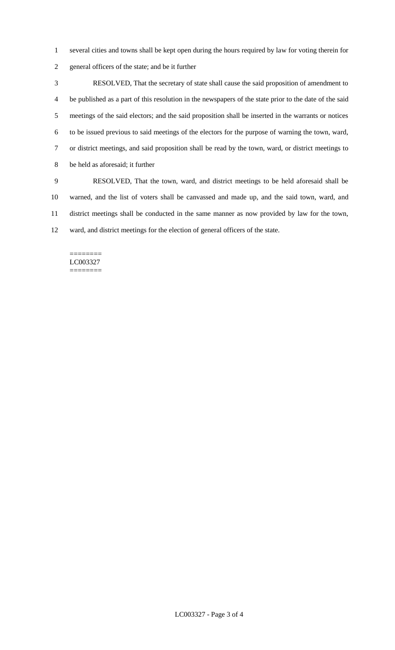- several cities and towns shall be kept open during the hours required by law for voting therein for
- general officers of the state; and be it further

 RESOLVED, That the secretary of state shall cause the said proposition of amendment to be published as a part of this resolution in the newspapers of the state prior to the date of the said meetings of the said electors; and the said proposition shall be inserted in the warrants or notices to be issued previous to said meetings of the electors for the purpose of warning the town, ward, or district meetings, and said proposition shall be read by the town, ward, or district meetings to be held as aforesaid; it further

 RESOLVED, That the town, ward, and district meetings to be held aforesaid shall be warned, and the list of voters shall be canvassed and made up, and the said town, ward, and district meetings shall be conducted in the same manner as now provided by law for the town, ward, and district meetings for the election of general officers of the state.

======== LC003327 ========